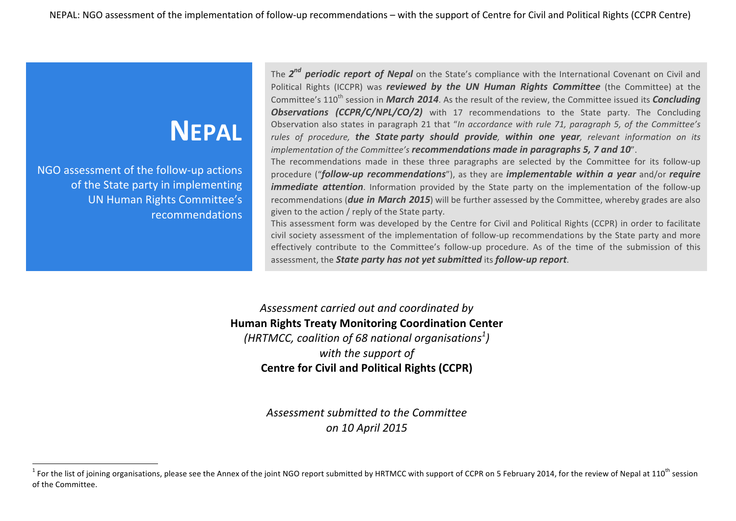## **NEPAL**

NGO assessment of the follow-up actions of the State party in implementing UN Human Rights Committee's recommendations

<u> 1989 - Jan Samuel Barbara, margaret e</u>

The 2<sup>nd</sup> **periodic report of Nepal** on the State's compliance with the International Covenant on Civil and Political Rights (ICCPR) was *reviewed by the UN Human Rights Committee* (the Committee) at the Committee's 110<sup>th</sup> session in *March* 2014. As the result of the review, the Committee issued its *Concluding* **Observations (CCPR/C/NPL/CO/2)** with 17 recommendations to the State party. The Concluding Observation also states in paragraph 21 that "In accordance with rule 71, paragraph 5, of the Committee's *rules* of procedure, **the State party should provide**, **within one year**, relevant information on its *implementation of the Committee's recommendations made in paragraphs 5, 7 and 10".* 

The recommendations made in these three paragraphs are selected by the Committee for its follow-up procedure ("*follow-up recommendations*"), as they are *implementable* within a year and/or *require immediate attention*. Information provided by the State party on the implementation of the follow-up recommendations (**due in March 2015**) will be further assessed by the Committee, whereby grades are also given to the action / reply of the State party.

This assessment form was developed by the Centre for Civil and Political Rights (CCPR) in order to facilitate civil society assessment of the implementation of follow-up recommendations by the State party and more effectively contribute to the Committee's follow-up procedure. As of the time of the submission of this assessment, the **State party has not yet submitted** its **follow-up report**.

Assessment carried out and coordinated by **Human Rights Treaty Monitoring Coordination Center** (HRTMCC, coalition of 68 national organisations $^{\text{1}}$ ) with the support of **Centre for Civil and Political Rights (CCPR)** 

> Assessment submitted to the Committee *on 10 April 2015*

<sup>&</sup>lt;sup>1</sup> For the list of joining organisations, please see the Annex of the joint NGO report submitted by HRTMCC with support of CCPR on 5 February 2014, for the review of Nepal at 110<sup>th</sup> session of the Committee.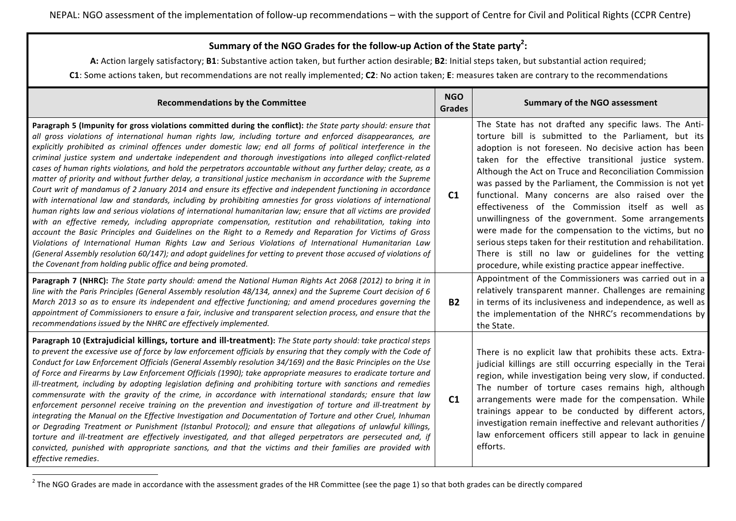## Summary of the NGO Grades for the follow-up Action of the State party<sup>2</sup>:

A: Action largely satisfactory; **B1**: Substantive action taken, but further action desirable; **B2**: Initial steps taken, but substantial action required;

**C1**: Some actions taken, but recommendations are not really implemented; C2: No action taken; E: measures taken are contrary to the recommendations

| <b>Recommendations by the Committee</b>                                                                                                                                                                                                                                                                                                                                                                                                                                                                                                                                                                                                                                                                                                                                                                                                                                                                                                                                                                                                                                                                                                                                                                                                                                                                                                                                                                                                                                                                                                                                   | <b>NGO</b><br><b>Grades</b> | <b>Summary of the NGO assessment</b>                                                                                                                                                                                                                                                                                                                                                                                                                                                                                                                                                                                                                                                                                                                              |
|---------------------------------------------------------------------------------------------------------------------------------------------------------------------------------------------------------------------------------------------------------------------------------------------------------------------------------------------------------------------------------------------------------------------------------------------------------------------------------------------------------------------------------------------------------------------------------------------------------------------------------------------------------------------------------------------------------------------------------------------------------------------------------------------------------------------------------------------------------------------------------------------------------------------------------------------------------------------------------------------------------------------------------------------------------------------------------------------------------------------------------------------------------------------------------------------------------------------------------------------------------------------------------------------------------------------------------------------------------------------------------------------------------------------------------------------------------------------------------------------------------------------------------------------------------------------------|-----------------------------|-------------------------------------------------------------------------------------------------------------------------------------------------------------------------------------------------------------------------------------------------------------------------------------------------------------------------------------------------------------------------------------------------------------------------------------------------------------------------------------------------------------------------------------------------------------------------------------------------------------------------------------------------------------------------------------------------------------------------------------------------------------------|
| Paragraph 5 (Impunity for gross violations committed during the conflict): the State party should: ensure that<br>all gross violations of international human rights law, including torture and enforced disappearances, are<br>explicitly prohibited as criminal offences under domestic law; end all forms of political interference in the<br>criminal justice system and undertake independent and thorough investigations into alleged conflict-related<br>cases of human rights violations, and hold the perpetrators accountable without any further delay; create, as a<br>matter of priority and without further delay, a transitional justice mechanism in accordance with the Supreme<br>Court writ of mandamus of 2 January 2014 and ensure its effective and independent functioning in accordance<br>with international law and standards, including by prohibiting amnesties for gross violations of international<br>human rights law and serious violations of international humanitarian law; ensure that all victims are provided<br>with an effective remedy, including appropriate compensation, restitution and rehabilitation, taking into<br>account the Basic Principles and Guidelines on the Right to a Remedy and Reparation for Victims of Gross<br>Violations of International Human Rights Law and Serious Violations of International Humanitarian Law<br>(General Assembly resolution 60/147); and adopt guidelines for vetting to prevent those accused of violations of<br>the Covenant from holding public office and being promoted. | C1                          | The State has not drafted any specific laws. The Anti-<br>torture bill is submitted to the Parliament, but its<br>adoption is not foreseen. No decisive action has been<br>taken for the effective transitional justice system.<br>Although the Act on Truce and Reconciliation Commission<br>was passed by the Parliament, the Commission is not yet<br>functional. Many concerns are also raised over the<br>effectiveness of the Commission itself as well as<br>unwillingness of the government. Some arrangements<br>were made for the compensation to the victims, but no<br>serious steps taken for their restitution and rehabilitation.<br>There is still no law or guidelines for the vetting<br>procedure, while existing practice appear ineffective. |
| Paragraph 7 (NHRC): The State party should: amend the National Human Rights Act 2068 (2012) to bring it in<br>line with the Paris Principles (General Assembly resolution 48/134, annex) and the Supreme Court decision of 6<br>March 2013 so as to ensure its independent and effective functioning; and amend procedures governing the<br>appointment of Commissioners to ensure a fair, inclusive and transparent selection process, and ensure that the<br>recommendations issued by the NHRC are effectively implemented.                                                                                                                                                                                                                                                                                                                                                                                                                                                                                                                                                                                                                                                                                                                                                                                                                                                                                                                                                                                                                                            | <b>B2</b>                   | Appointment of the Commissioners was carried out in a<br>relatively transparent manner. Challenges are remaining<br>in terms of its inclusiveness and independence, as well as<br>the implementation of the NHRC's recommendations by<br>the State.                                                                                                                                                                                                                                                                                                                                                                                                                                                                                                               |
| Paragraph 10 (Extrajudicial killings, torture and ill-treatment): The State party should: take practical steps<br>to prevent the excessive use of force by law enforcement officials by ensuring that they comply with the Code of<br>Conduct for Law Enforcement Officials (General Assembly resolution 34/169) and the Basic Principles on the Use<br>of Force and Firearms by Law Enforcement Officials (1990); take appropriate measures to eradicate torture and<br>ill-treatment, including by adopting legislation defining and prohibiting torture with sanctions and remedies<br>commensurate with the gravity of the crime, in accordance with international standards; ensure that law<br>enforcement personnel receive training on the prevention and investigation of torture and ill-treatment by<br>integrating the Manual on the Effective Investigation and Documentation of Torture and other Cruel, Inhuman<br>or Degrading Treatment or Punishment (Istanbul Protocol); and ensure that allegations of unlawful killings,<br>torture and ill-treatment are effectively investigated, and that alleged perpetrators are persecuted and, if<br>convicted, punished with appropriate sanctions, and that the victims and their families are provided with<br>effective remedies.                                                                                                                                                                                                                                                                         | C1                          | There is no explicit law that prohibits these acts. Extra-<br>judicial killings are still occurring especially in the Terai<br>region, while investigation being very slow, if conducted.<br>The number of torture cases remains high, although<br>arrangements were made for the compensation. While<br>trainings appear to be conducted by different actors,<br>investigation remain ineffective and relevant authorities /<br>law enforcement officers still appear to lack in genuine<br>efforts.                                                                                                                                                                                                                                                             |

<sup>&</sup>lt;sup>2</sup> The NGO Grades are made in accordance with the assessment grades of the HR Committee (see the page 1) so that both grades can be directly compared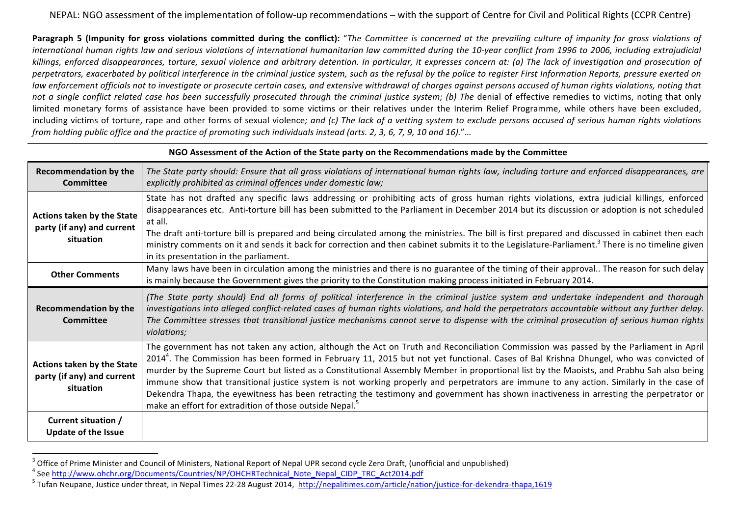**Paragraph 5 (Impunity for gross violations committed during the conflict):** "The Committee is concerned at the prevailing culture of impunity for gross violations of international human rights law and serious violations of international humanitarian law committed during the 10-year conflict from 1996 to 2006, including extrajudicial killings, enforced disappearances, torture, sexual violence and arbitrary detention. In particular, it expresses concern at: (a) The lack of investigation and prosecution of perpetrators, exacerbated by political interference in the criminal justice system, such as the refusal by the police to register First Information Reports, pressure exerted on law enforcement officials not to investigate or prosecute certain cases, and extensive withdrawal of charges against persons accused of human rights violations, noting that not a single conflict related case has been successfully prosecuted through the criminal justice system; (b) The denial of effective remedies to victims, noting that only limited monetary forms of assistance have been provided to some victims or their relatives under the Interim Relief Programme, while others have been excluded, including victims of torture, rape and other forms of sexual violence; and (c) The lack of a vetting system to exclude persons accused of serious human rights violations *from holding public office and the practice of promoting such individuals instead (arts. 2, 3, 6, 7, 9, 10 and 16)."*…

| NGO Assessment of the Action of the State party on the Recommendations made by the Committee |                                                                                                                                                                                                                                                                                                                                                                                                                                                                                                                                                                                                                                                                                                                                                                                                        |  |
|----------------------------------------------------------------------------------------------|--------------------------------------------------------------------------------------------------------------------------------------------------------------------------------------------------------------------------------------------------------------------------------------------------------------------------------------------------------------------------------------------------------------------------------------------------------------------------------------------------------------------------------------------------------------------------------------------------------------------------------------------------------------------------------------------------------------------------------------------------------------------------------------------------------|--|
| <b>Recommendation by the</b><br>Committee                                                    | The State party should: Ensure that all gross violations of international human rights law, including torture and enforced disappearances, are<br>explicitly prohibited as criminal offences under domestic law;                                                                                                                                                                                                                                                                                                                                                                                                                                                                                                                                                                                       |  |
| Actions taken by the State<br>party (if any) and current<br>situation                        | State has not drafted any specific laws addressing or prohibiting acts of gross human rights violations, extra judicial killings, enforced<br>disappearances etc. Anti-torture bill has been submitted to the Parliament in December 2014 but its discussion or adoption is not scheduled<br>at all.<br>The draft anti-torture bill is prepared and being circulated among the ministries. The bill is first prepared and discussed in cabinet then each<br>ministry comments on it and sends it back for correction and then cabinet submits it to the Legislature-Parliament. <sup>3</sup> There is no timeline given<br>in its presentation in the parliament.                                                                                                                                      |  |
| <b>Other Comments</b>                                                                        | Many laws have been in circulation among the ministries and there is no guarantee of the timing of their approval The reason for such delay<br>is mainly because the Government gives the priority to the Constitution making process initiated in February 2014.                                                                                                                                                                                                                                                                                                                                                                                                                                                                                                                                      |  |
| <b>Recommendation by the</b><br>Committee                                                    | (The State party should) End all forms of political interference in the criminal justice system and undertake independent and thorough<br>investigations into alleged conflict-related cases of human rights violations, and hold the perpetrators accountable without any further delay.<br>The Committee stresses that transitional justice mechanisms cannot serve to dispense with the criminal prosecution of serious human rights<br>violations;                                                                                                                                                                                                                                                                                                                                                 |  |
| Actions taken by the State<br>party (if any) and current<br>situation                        | The government has not taken any action, although the Act on Truth and Reconciliation Commission was passed by the Parliament in April<br>2014 <sup>4</sup> . The Commission has been formed in February 11, 2015 but not yet functional. Cases of Bal Krishna Dhungel, who was convicted of<br>murder by the Supreme Court but listed as a Constitutional Assembly Member in proportional list by the Maoists, and Prabhu Sah also being<br>immune show that transitional justice system is not working properly and perpetrators are immune to any action. Similarly in the case of<br>Dekendra Thapa, the eyewitness has been retracting the testimony and government has shown inactiveness in arresting the perpetrator or<br>make an effort for extradition of those outside Nepal. <sup>5</sup> |  |
| Current situation /<br><b>Update of the Issue</b>                                            |                                                                                                                                                                                                                                                                                                                                                                                                                                                                                                                                                                                                                                                                                                                                                                                                        |  |

<sup>&</sup>lt;sup>3</sup> Office of Prime Minister and Council of Ministers, National Report of Nepal UPR second cycle Zero Draft, (unofficial and unpublished)<br><sup>4</sup> See http://www.ohchr.org/Documents/Countries/NP/OHCHRTechnical\_Note\_Nepal\_CIDP\_T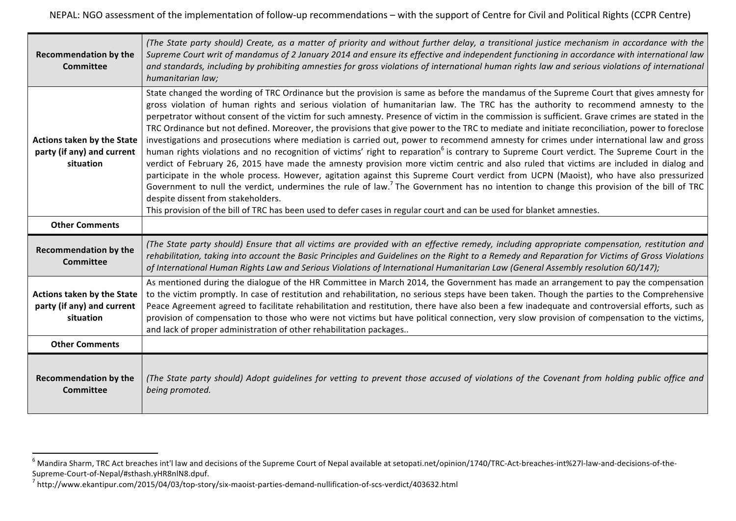| <b>Recommendation by the</b><br><b>Committee</b>                             | (The State party should) Create, as a matter of priority and without further delay, a transitional justice mechanism in accordance with the<br>Supreme Court writ of mandamus of 2 January 2014 and ensure its effective and independent functioning in accordance with international law<br>and standards, including by prohibiting amnesties for gross violations of international human rights law and serious violations of international<br>humanitarian law;                                                                                                                                                                                                                                                                                                                                                                                                                                                                                                                                                                                                                                                                                                                                                                                                                                                                                                                                                                                                                              |
|------------------------------------------------------------------------------|-------------------------------------------------------------------------------------------------------------------------------------------------------------------------------------------------------------------------------------------------------------------------------------------------------------------------------------------------------------------------------------------------------------------------------------------------------------------------------------------------------------------------------------------------------------------------------------------------------------------------------------------------------------------------------------------------------------------------------------------------------------------------------------------------------------------------------------------------------------------------------------------------------------------------------------------------------------------------------------------------------------------------------------------------------------------------------------------------------------------------------------------------------------------------------------------------------------------------------------------------------------------------------------------------------------------------------------------------------------------------------------------------------------------------------------------------------------------------------------------------|
| Actions taken by the State<br>party (if any) and current<br>situation        | State changed the wording of TRC Ordinance but the provision is same as before the mandamus of the Supreme Court that gives amnesty for<br>gross violation of human rights and serious violation of humanitarian law. The TRC has the authority to recommend amnesty to the<br>perpetrator without consent of the victim for such amnesty. Presence of victim in the commission is sufficient. Grave crimes are stated in the<br>TRC Ordinance but not defined. Moreover, the provisions that give power to the TRC to mediate and initiate reconciliation, power to foreclose<br>investigations and prosecutions where mediation is carried out, power to recommend amnesty for crimes under international law and gross<br>human rights violations and no recognition of victims' right to reparation <sup>6</sup> is contrary to Supreme Court verdict. The Supreme Court in the<br>verdict of February 26, 2015 have made the amnesty provision more victim centric and also ruled that victims are included in dialog and<br>participate in the whole process. However, agitation against this Supreme Court verdict from UCPN (Maoist), who have also pressurized<br>Government to null the verdict, undermines the rule of law. <sup>7</sup> The Government has no intention to change this provision of the bill of TRC<br>despite dissent from stakeholders.<br>This provision of the bill of TRC has been used to defer cases in regular court and can be used for blanket amnesties. |
| <b>Other Comments</b>                                                        |                                                                                                                                                                                                                                                                                                                                                                                                                                                                                                                                                                                                                                                                                                                                                                                                                                                                                                                                                                                                                                                                                                                                                                                                                                                                                                                                                                                                                                                                                                 |
| <b>Recommendation by the</b><br><b>Committee</b>                             | (The State party should) Ensure that all victims are provided with an effective remedy, including appropriate compensation, restitution and<br>rehabilitation, taking into account the Basic Principles and Guidelines on the Right to a Remedy and Reparation for Victims of Gross Violations<br>of International Human Rights Law and Serious Violations of International Humanitarian Law (General Assembly resolution 60/147);                                                                                                                                                                                                                                                                                                                                                                                                                                                                                                                                                                                                                                                                                                                                                                                                                                                                                                                                                                                                                                                              |
| <b>Actions taken by the State</b><br>party (if any) and current<br>situation | As mentioned during the dialogue of the HR Committee in March 2014, the Government has made an arrangement to pay the compensation<br>to the victim promptly. In case of restitution and rehabilitation, no serious steps have been taken. Though the parties to the Comprehensive<br>Peace Agreement agreed to facilitate rehabilitation and restitution, there have also been a few inadequate and controversial efforts, such as<br>provision of compensation to those who were not victims but have political connection, very slow provision of compensation to the victims,<br>and lack of proper administration of other rehabilitation packages                                                                                                                                                                                                                                                                                                                                                                                                                                                                                                                                                                                                                                                                                                                                                                                                                                         |
| <b>Other Comments</b>                                                        |                                                                                                                                                                                                                                                                                                                                                                                                                                                                                                                                                                                                                                                                                                                                                                                                                                                                                                                                                                                                                                                                                                                                                                                                                                                                                                                                                                                                                                                                                                 |
| <b>Recommendation by the</b><br><b>Committee</b>                             | (The State party should) Adopt guidelines for vetting to prevent those accused of violations of the Covenant from holding public office and<br>being promoted.                                                                                                                                                                                                                                                                                                                                                                                                                                                                                                                                                                                                                                                                                                                                                                                                                                                                                                                                                                                                                                                                                                                                                                                                                                                                                                                                  |

 $^6$  Mandira Sharm, TRC Act breaches int'l law and decisions of the Supreme Court of Nepal available at setopati.net/opinion/1740/TRC-Act-breaches-int%27l-law-and-decisions-of-the-

Supreme-Court-of-Nepal/#sthash.yHR8nlN8.dpuf.<br><sup>7</sup> http://www.ekantipur.com/2015/04/03/top-story/six-maoist-parties-demand-nullification-of-scs-verdict/403632.html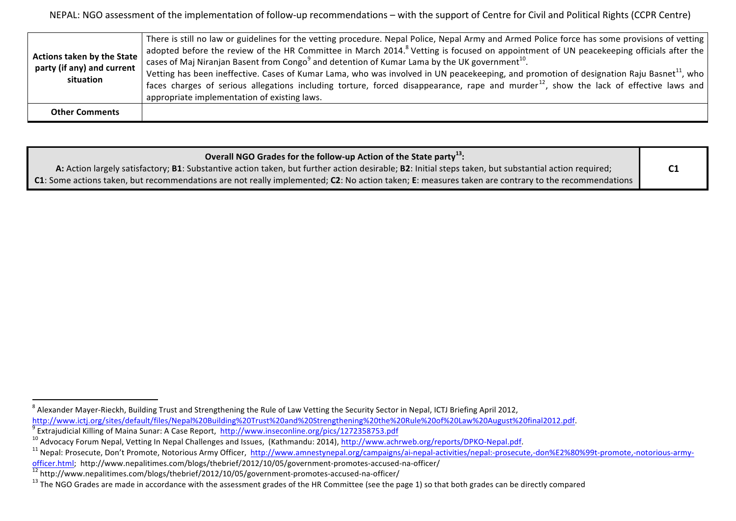| Actions taken by the State<br>party (if any) and current<br>situation | There is still no law or guidelines for the vetting procedure. Nepal Police, Nepal Army and Armed Police force has some provisions of vetting<br>adopted before the review of the HR Committee in March 2014. <sup>8</sup> Vetting is focused on appointment of UN peacekeeping officials after the<br>cases of Maj Niranjan Basent from Congo <sup>9</sup> and detention of Kumar Lama by the UK government <sup>10</sup> .<br>Vetting has been ineffective. Cases of Kumar Lama, who was involved in UN peacekeeping, and promotion of designation Raju Basnet <sup>11</sup> , who<br>faces charges of serious allegations including torture, forced disappearance, rape and murder <sup>12</sup> , show the lack of effective laws and<br>appropriate implementation of existing laws. |
|-----------------------------------------------------------------------|-------------------------------------------------------------------------------------------------------------------------------------------------------------------------------------------------------------------------------------------------------------------------------------------------------------------------------------------------------------------------------------------------------------------------------------------------------------------------------------------------------------------------------------------------------------------------------------------------------------------------------------------------------------------------------------------------------------------------------------------------------------------------------------------|
| <b>Other Comments</b>                                                 |                                                                                                                                                                                                                                                                                                                                                                                                                                                                                                                                                                                                                                                                                                                                                                                           |

| A: Action largely satisfactory; B1: Substantive action taken, but further action desirable; B2: Initial steps taken, but substantial action required; |  |
|-------------------------------------------------------------------------------------------------------------------------------------------------------|--|
| C1: Some actions taken, but recommendations are not really implemented; C2: No action taken; E: measures taken are contrary to the recommendations    |  |

 $^8$  Alexander Mayer-Rieckh, Building Trust and Strengthening the Rule of Law Vetting the Security Sector in Nepal, ICTJ Briefing April 2012, http://www.ictj.org/sites/default/files/Nepal%20Building%20Trust%20and%20Strengthening%20the%20Rule%20of%20Law%20August%20final2012.pdf.<br><sup>9</sup> Extrajudicial Killing of Maina Sunar: A Case Report, http://www.inseconline.org/p

 $\frac{\text{offer.html}}{12}$  http://www.nepalitimes.com/blogs/thebrief/2012/10/05/government-promotes-accused-na-officer/<br> $\frac{12}{12}$  http://www.nepalitimes.com/blogs/thebrief/2012/10/05/government-promotes-accused-na-officer/<br><sup>13</sup> The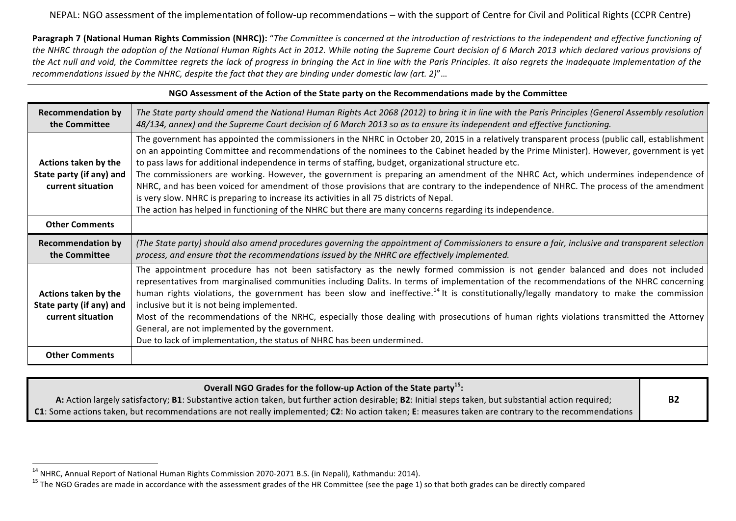**Paragraph 7 (National Human Rights Commission (NHRC)):** "The Committee is concerned at the introduction of restrictions to the independent and effective functioning of the NHRC through the adoption of the National Human Rights Act in 2012. While noting the Supreme Court decision of 6 March 2013 which declared various provisions of the Act null and void, the Committee regrets the lack of progress in bringing the Act in line with the Paris Principles. It also regrets the inadequate implementation of the *recommendations issued by the NHRC, despite the fact that they are binding under domestic law (art. 2)"...* 

| NGO Assessment of the Action of the State party on the Recommendations made by the Committee   |                                                                                                                                                                                                                                                                                                                                                                                                                                                                                                                                                                                                                                                                                                                                                                                                                                                                                            |  |
|------------------------------------------------------------------------------------------------|--------------------------------------------------------------------------------------------------------------------------------------------------------------------------------------------------------------------------------------------------------------------------------------------------------------------------------------------------------------------------------------------------------------------------------------------------------------------------------------------------------------------------------------------------------------------------------------------------------------------------------------------------------------------------------------------------------------------------------------------------------------------------------------------------------------------------------------------------------------------------------------------|--|
| <b>Recommendation by</b><br>the Committee                                                      | The State party should amend the National Human Rights Act 2068 (2012) to bring it in line with the Paris Principles (General Assembly resolution<br>48/134, annex) and the Supreme Court decision of 6 March 2013 so as to ensure its independent and effective functioning.                                                                                                                                                                                                                                                                                                                                                                                                                                                                                                                                                                                                              |  |
| Actions taken by the<br>State party (if any) and<br>current situation<br><b>Other Comments</b> | The government has appointed the commissioners in the NHRC in October 20, 2015 in a relatively transparent process (public call, establishment<br>on an appointing Committee and recommendations of the nominees to the Cabinet headed by the Prime Minister). However, government is yet<br>to pass laws for additional independence in terms of staffing, budget, organizational structure etc.<br>The commissioners are working. However, the government is preparing an amendment of the NHRC Act, which undermines independence of<br>NHRC, and has been voiced for amendment of those provisions that are contrary to the independence of NHRC. The process of the amendment<br>is very slow. NHRC is preparing to increase its activities in all 75 districts of Nepal.<br>The action has helped in functioning of the NHRC but there are many concerns regarding its independence. |  |
| <b>Recommendation by</b><br>the Committee                                                      | (The State party) should also amend procedures governing the appointment of Commissioners to ensure a fair, inclusive and transparent selection<br>process, and ensure that the recommendations issued by the NHRC are effectively implemented.                                                                                                                                                                                                                                                                                                                                                                                                                                                                                                                                                                                                                                            |  |
| Actions taken by the<br>State party (if any) and<br>current situation                          | The appointment procedure has not been satisfactory as the newly formed commission is not gender balanced and does not included<br>representatives from marginalised communities including Dalits. In terms of implementation of the recommendations of the NHRC concerning<br>human rights violations, the government has been slow and ineffective. <sup>14</sup> It is constitutionally/legally mandatory to make the commission<br>inclusive but it is not being implemented.<br>Most of the recommendations of the NRHC, especially those dealing with prosecutions of human rights violations transmitted the Attorney<br>General, are not implemented by the government.<br>Due to lack of implementation, the status of NHRC has been undermined.                                                                                                                                  |  |
| <b>Other Comments</b>                                                                          |                                                                                                                                                                                                                                                                                                                                                                                                                                                                                                                                                                                                                                                                                                                                                                                                                                                                                            |  |

| Overall NGO Grades for the follow-up Action of the State party <sup>15</sup> :                                                                        |           |
|-------------------------------------------------------------------------------------------------------------------------------------------------------|-----------|
| A: Action largely satisfactory; B1: Substantive action taken, but further action desirable; B2: Initial steps taken, but substantial action required; | <b>B2</b> |
| C1: Some actions taken, but recommendations are not really implemented; C2: No action taken; E: measures taken are contrary to the recommendations    |           |

<sup>&</sup>lt;sup>14</sup> NHRC, Annual Report of National Human Rights Commission 2070-2071 B.S. (in Nepali), Kathmandu: 2014).<br><sup>15</sup> The NGO Grades are made in accordance with the assessment grades of the HR Committee (see the page 1) so that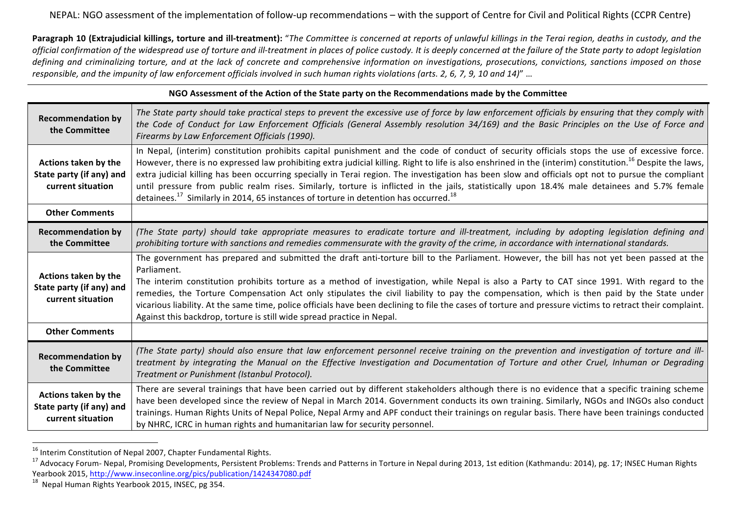**Paragraph 10 (Extrajudicial killings, torture and ill-treatment):** "The Committee is concerned at reports of unlawful killings in the Terai region, deaths in custody, and the official confirmation of the widespread use of torture and ill-treatment in places of police custody. It is deeply concerned at the failure of the State party to adopt legislation defining and criminalizing torture, and at the lack of concrete and comprehensive information on investigations, prosecutions, convictions, sanctions imposed on those responsible, and the *impunity of law enforcement officials involved in such human rights violations (arts. 2, 6, 7, 9, 10 and 14)"* ...

| NGO Assessment of the Action of the State party on the Recommendations made by the Committee |                                                                                                                                                                                                                                                                                                                                                                                                                                                                                                                                                                                                                                                                                                                                               |  |
|----------------------------------------------------------------------------------------------|-----------------------------------------------------------------------------------------------------------------------------------------------------------------------------------------------------------------------------------------------------------------------------------------------------------------------------------------------------------------------------------------------------------------------------------------------------------------------------------------------------------------------------------------------------------------------------------------------------------------------------------------------------------------------------------------------------------------------------------------------|--|
| <b>Recommendation by</b><br>the Committee                                                    | The State party should take practical steps to prevent the excessive use of force by law enforcement officials by ensuring that they comply with<br>the Code of Conduct for Law Enforcement Officials (General Assembly resolution 34/169) and the Basic Principles on the Use of Force and<br>Firearms by Law Enforcement Officials (1990).                                                                                                                                                                                                                                                                                                                                                                                                  |  |
| Actions taken by the<br>State party (if any) and<br>current situation                        | In Nepal, (interim) constitution prohibits capital punishment and the code of conduct of security officials stops the use of excessive force.<br>However, there is no expressed law prohibiting extra judicial killing. Right to life is also enshrined in the (interim) constitution. <sup>16</sup> Despite the laws,<br>extra judicial killing has been occurring specially in Terai region. The investigation has been slow and officials opt not to pursue the compliant<br>until pressure from public realm rises. Similarly, torture is inflicted in the jails, statistically upon 18.4% male detainees and 5.7% female<br>detainees. <sup>17</sup> Similarly in 2014, 65 instances of torture in detention has occurred. <sup>18</sup> |  |
| <b>Other Comments</b>                                                                        |                                                                                                                                                                                                                                                                                                                                                                                                                                                                                                                                                                                                                                                                                                                                               |  |
| <b>Recommendation by</b><br>the Committee                                                    | (The State party) should take appropriate measures to eradicate torture and ill-treatment, including by adopting legislation defining and<br>prohibiting torture with sanctions and remedies commensurate with the gravity of the crime, in accordance with international standards.                                                                                                                                                                                                                                                                                                                                                                                                                                                          |  |
| Actions taken by the<br>State party (if any) and<br>current situation                        | The government has prepared and submitted the draft anti-torture bill to the Parliament. However, the bill has not yet been passed at the<br>Parliament.<br>The interim constitution prohibits torture as a method of investigation, while Nepal is also a Party to CAT since 1991. With regard to the<br>remedies, the Torture Compensation Act only stipulates the civil liability to pay the compensation, which is then paid by the State under<br>vicarious liability. At the same time, police officials have been declining to file the cases of torture and pressure victims to retract their complaint.<br>Against this backdrop, torture is still wide spread practice in Nepal.                                                    |  |
| <b>Other Comments</b>                                                                        |                                                                                                                                                                                                                                                                                                                                                                                                                                                                                                                                                                                                                                                                                                                                               |  |
| <b>Recommendation by</b><br>the Committee                                                    | (The State party) should also ensure that law enforcement personnel receive training on the prevention and investigation of torture and ill-<br>treatment by integrating the Manual on the Effective Investigation and Documentation of Torture and other Cruel, Inhuman or Degrading<br>Treatment or Punishment (Istanbul Protocol).                                                                                                                                                                                                                                                                                                                                                                                                         |  |
| Actions taken by the<br>State party (if any) and<br>current situation                        | There are several trainings that have been carried out by different stakeholders although there is no evidence that a specific training scheme<br>have been developed since the review of Nepal in March 2014. Government conducts its own training. Similarly, NGOs and INGOs also conduct<br>trainings. Human Rights Units of Nepal Police, Nepal Army and APF conduct their trainings on regular basis. There have been trainings conducted<br>by NHRC, ICRC in human rights and humanitarian law for security personnel.                                                                                                                                                                                                                  |  |

<sup>&</sup>lt;sup>16</sup> Interim Constitution of Nepal 2007, Chapter Fundamental Rights.

<sup>&</sup>lt;sup>17</sup> Advocacy Forum- Nepal, Promising Developments, Persistent Problems: Trends and Patterns in Torture in Nepal during 2013, 1st edition (Kathmandu: 2014), pg. 17; INSEC Human Rights Yearbook 2015, http://www.inseconline.org/pics/publication/1424347080.pdf<br><sup>18</sup> Nepal Human Rights Yearbook 2015, INSEC, pg 354.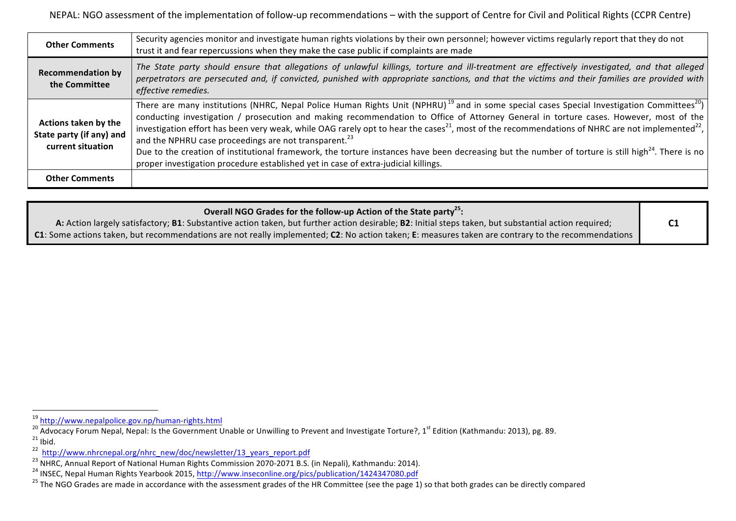| <b>Other Comments</b>                                                 | Security agencies monitor and investigate human rights violations by their own personnel; however victims regularly report that they do not<br>trust it and fear repercussions when they make the case public if complaints are made                                                                                                                                                                                                                                                                                                                                                                                                                                                                                                                                                                                |
|-----------------------------------------------------------------------|---------------------------------------------------------------------------------------------------------------------------------------------------------------------------------------------------------------------------------------------------------------------------------------------------------------------------------------------------------------------------------------------------------------------------------------------------------------------------------------------------------------------------------------------------------------------------------------------------------------------------------------------------------------------------------------------------------------------------------------------------------------------------------------------------------------------|
| <b>Recommendation by</b><br>the Committee                             | The State party should ensure that allegations of unlawful killings, torture and ill-treatment are effectively investigated, and that alleged<br>perpetrators are persecuted and, if convicted, punished with appropriate sanctions, and that the victims and their families are provided with<br>effective remedies.                                                                                                                                                                                                                                                                                                                                                                                                                                                                                               |
| Actions taken by the<br>State party (if any) and<br>current situation | There are many institutions (NHRC, Nepal Police Human Rights Unit (NPHRU) <sup>19</sup> and in some special cases Special Investigation Committees <sup>20</sup> )<br>conducting investigation / prosecution and making recommendation to Office of Attorney General in torture cases. However, most of the<br>investigation effort has been very weak, while OAG rarely opt to hear the cases <sup>21</sup> , most of the recommendations of NHRC are not implemented <sup>22</sup> ,<br>and the NPHRU case proceedings are not transparent. <sup>23</sup><br>Due to the creation of institutional framework, the torture instances have been decreasing but the number of torture is still high <sup>24</sup> . There is no<br>proper investigation procedure established yet in case of extra-judicial killings. |
| <b>Other Comments</b>                                                 |                                                                                                                                                                                                                                                                                                                                                                                                                                                                                                                                                                                                                                                                                                                                                                                                                     |

| Overall NGO Grades for the follow-up Action of the State party <sup>25</sup> :                                                                        |                |
|-------------------------------------------------------------------------------------------------------------------------------------------------------|----------------|
| A: Action largely satisfactory; B1: Substantive action taken, but further action desirable; B2: Initial steps taken, but substantial action required; | C <sub>1</sub> |
| C1: Some actions taken, but recommendations are not really implemented; C2: No action taken; E: measures taken are contrary to the recommendations    |                |

<sup>&</sup>lt;sup>19</sup> http://www.nepalpolice.gov.np/human-rights.html<br><sup>20</sup> Advocacy Forum Nepal, Nepal: Is the Government Unable or Unwilling to Prevent and Investigate Torture?, 1<sup>st</sup> Edition (Kathmandu: 2013), pg. 89. 21 Ibid.<br>
22 http://www.nhrcnepal.org/nhrc\_new/doc/newsletter/13\_years\_report.pdf<br>
23 NHRC, Annual Report of National Human Rights Commission 2070-2071 B.S. (in Nepali), Kathmandu: 2014).<br>
24 INSEC, Nepal Human Rights Year